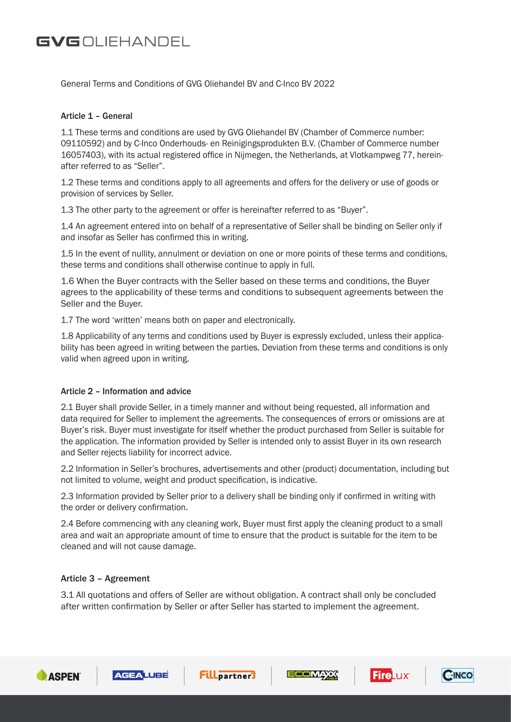General Terms and Conditions of GVG Oliehandel BV and C-Inco BV 2022

### Article 1 – General

1.1 These terms and conditions are used by GVG Oliehandel BV (Chamber of Commerce number: 09110592) and by C-Inco Onderhouds- en Reinigingsprodukten B.V. (Chamber of Commerce number 16057403), with its actual registered office in Nijmegen, the Netherlands, at Vlotkampweg 77, hereinafter referred to as "Seller".

1.2 These terms and conditions apply to all agreements and offers for the delivery or use of goods or provision of services by Seller.

1.3 The other party to the agreement or offer is hereinafter referred to as "Buyer".

1.4 An agreement entered into on behalf of a representative of Seller shall be binding on Seller only if and insofar as Seller has confirmed this in writing.

1.5 In the event of nullity, annulment or deviation on one or more points of these terms and conditions, these terms and conditions shall otherwise continue to apply in full.

1.6 When the Buyer contracts with the Seller based on these terms and conditions, the Buyer agrees to the applicability of these terms and conditions to subsequent agreements between the Seller and the Buyer.

1.7 The word 'written' means both on paper and electronically.

1.8 Applicability of any terms and conditions used by Buyer is expressly excluded, unless their applicability has been agreed in writing between the parties. Deviation from these terms and conditions is only valid when agreed upon in writing.

### Article 2 – Information and advice

2.1 Buyer shall provide Seller, in a timely manner and without being requested, all information and data required for Seller to implement the agreements. The consequences of errors or omissions are at Buyer's risk. Buyer must investigate for itself whether the product purchased from Seller is suitable for the application. The information provided by Seller is intended only to assist Buyer in its own research and Seller rejects liability for incorrect advice.

2.2 Information in Seller's brochures, advertisements and other (product) documentation, including but not limited to volume, weight and product specification, is indicative.

2.3 Information provided by Seller prior to a delivery shall be binding only if confirmed in writing with the order or delivery confirmation.

2.4 Before commencing with any cleaning work, Buyer must first apply the cleaning product to a small area and wait an appropriate amount of time to ensure that the product is suitable for the item to be cleaned and will not cause damage.

### Article 3 – Agreement

3.1 All quotations and offers of Seller are without obligation. A contract shall only be concluded after written confirmation by Seller or after Seller has started to implement the agreement.











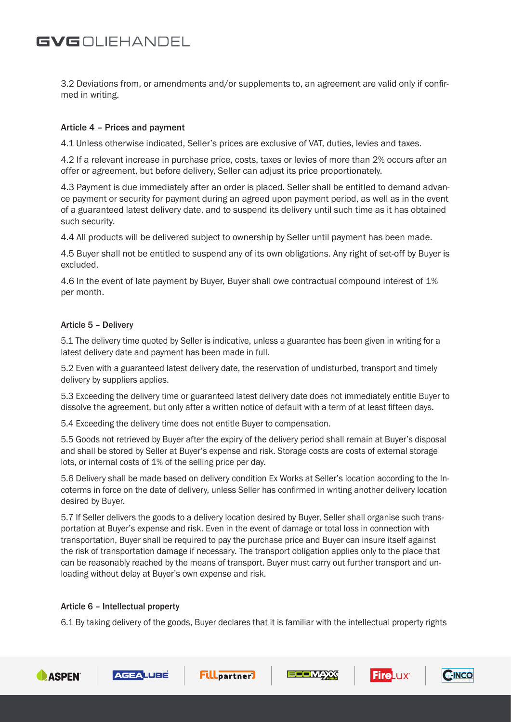3.2 Deviations from, or amendments and/or supplements to, an agreement are valid only if confirmed in writing.

### Article 4 – Prices and payment

4.1 Unless otherwise indicated, Seller's prices are exclusive of VAT, duties, levies and taxes.

4.2 If a relevant increase in purchase price, costs, taxes or levies of more than 2% occurs after an offer or agreement, but before delivery, Seller can adjust its price proportionately.

4.3 Payment is due immediately after an order is placed. Seller shall be entitled to demand advance payment or security for payment during an agreed upon payment period, as well as in the event of a guaranteed latest delivery date, and to suspend its delivery until such time as it has obtained such security.

4.4 All products will be delivered subject to ownership by Seller until payment has been made.

4.5 Buyer shall not be entitled to suspend any of its own obligations. Any right of set-off by Buyer is excluded.

4.6 In the event of late payment by Buyer, Buyer shall owe contractual compound interest of 1% per month.

### Article 5 – Delivery

5.1 The delivery time quoted by Seller is indicative, unless a guarantee has been given in writing for a latest delivery date and payment has been made in full.

5.2 Even with a guaranteed latest delivery date, the reservation of undisturbed, transport and timely delivery by suppliers applies.

5.3 Exceeding the delivery time or guaranteed latest delivery date does not immediately entitle Buyer to dissolve the agreement, but only after a written notice of default with a term of at least fifteen days.

5.4 Exceeding the delivery time does not entitle Buyer to compensation.

5.5 Goods not retrieved by Buyer after the expiry of the delivery period shall remain at Buyer's disposal and shall be stored by Seller at Buyer's expense and risk. Storage costs are costs of external storage lots, or internal costs of 1% of the selling price per day.

5.6 Delivery shall be made based on delivery condition Ex Works at Seller's location according to the Incoterms in force on the date of delivery, unless Seller has confirmed in writing another delivery location desired by Buyer.

5.7 If Seller delivers the goods to a delivery location desired by Buyer, Seller shall organise such transportation at Buyer's expense and risk. Even in the event of damage or total loss in connection with transportation, Buyer shall be required to pay the purchase price and Buyer can insure itself against the risk of transportation damage if necessary. The transport obligation applies only to the place that can be reasonably reached by the means of transport. Buyer must carry out further transport and unloading without delay at Buyer's own expense and risk.

### Article 6 – Intellectual property

6.1 By taking delivery of the goods, Buyer declares that it is familiar with the intellectual property rights









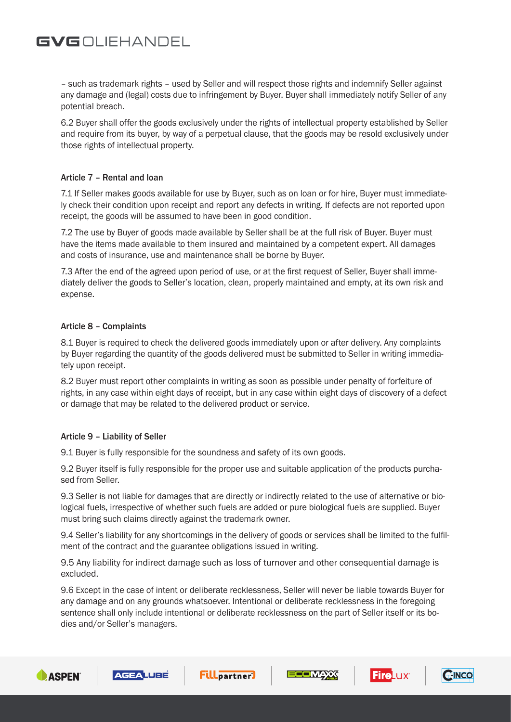– such as trademark rights – used by Seller and will respect those rights and indemnify Seller against any damage and (legal) costs due to infringement by Buyer. Buyer shall immediately notify Seller of any potential breach.

6.2 Buyer shall offer the goods exclusively under the rights of intellectual property established by Seller and require from its buyer, by way of a perpetual clause, that the goods may be resold exclusively under those rights of intellectual property.

### Article 7 – Rental and loan

7.1 If Seller makes goods available for use by Buyer, such as on loan or for hire, Buyer must immediately check their condition upon receipt and report any defects in writing. If defects are not reported upon receipt, the goods will be assumed to have been in good condition.

7.2 The use by Buyer of goods made available by Seller shall be at the full risk of Buyer. Buyer must have the items made available to them insured and maintained by a competent expert. All damages and costs of insurance, use and maintenance shall be borne by Buyer.

7.3 After the end of the agreed upon period of use, or at the first request of Seller, Buyer shall immediately deliver the goods to Seller's location, clean, properly maintained and empty, at its own risk and expense.

### Article 8 – Complaints

8.1 Buyer is required to check the delivered goods immediately upon or after delivery. Any complaints by Buyer regarding the quantity of the goods delivered must be submitted to Seller in writing immediately upon receipt.

8.2 Buyer must report other complaints in writing as soon as possible under penalty of forfeiture of rights, in any case within eight days of receipt, but in any case within eight days of discovery of a defect or damage that may be related to the delivered product or service.

### Article 9 – Liability of Seller

9.1 Buyer is fully responsible for the soundness and safety of its own goods.

9.2 Buyer itself is fully responsible for the proper use and suitable application of the products purchased from Seller.

9.3 Seller is not liable for damages that are directly or indirectly related to the use of alternative or biological fuels, irrespective of whether such fuels are added or pure biological fuels are supplied. Buyer must bring such claims directly against the trademark owner.

9.4 Seller's liability for any shortcomings in the delivery of goods or services shall be limited to the fulfilment of the contract and the guarantee obligations issued in writing.

9.5 Any liability for indirect damage such as loss of turnover and other consequential damage is excluded.

9.6 Except in the case of intent or deliberate recklessness, Seller will never be liable towards Buyer for any damage and on any grounds whatsoever. Intentional or deliberate recklessness in the foregoing sentence shall only include intentional or deliberate recklessness on the part of Seller itself or its bodies and/or Seller's managers.